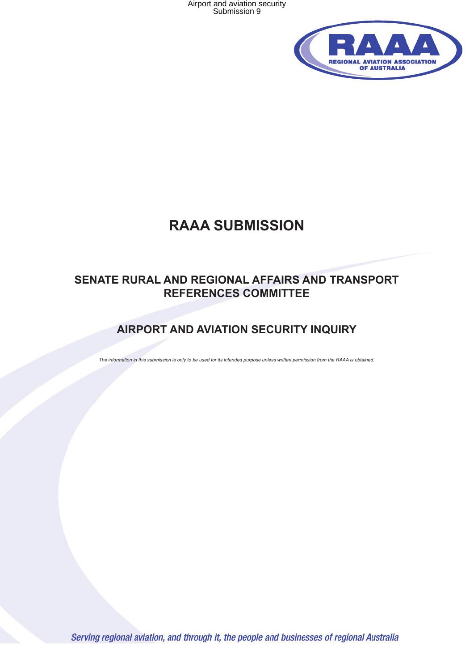Airport and aviation security Submission 9



# **RAAA SUBMISSION**

# **SENATE RURAL AND REGIONAL AFFAIRS AND TRANSPORT REFERENCES COMMITTEE**

# **AIRPORT AND AVIATION SECURITY INQUIRY**

*The information in this submission is only to be used for its intended purpose unless written permission from the RAAA is obtained.*

Serving regional aviation, and through it, the people and businesses of regional Australia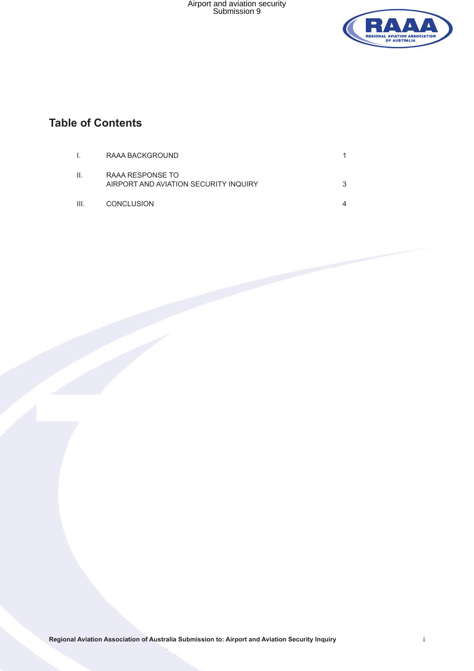

# **Table of Contents**

|      | RAAA BACKGROUND                                           |  |
|------|-----------------------------------------------------------|--|
| Ш.   | RAAA RESPONSE TO<br>AIRPORT AND AVIATION SECURITY INQUIRY |  |
| III. | <b>CONCLUSION</b>                                         |  |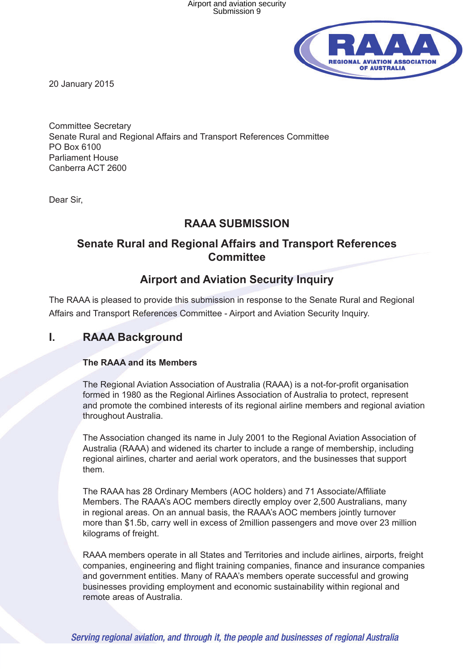

20 January 2015

Committee Secretary Senate Rural and Regional Affairs and Transport References Committee PO Box 6100 Parliament House Canberra ACT 2600

Dear Sir,

#### **RAAA SUBMISSION**

### **Senate Rural and Regional Affairs and Transport References Committee**

### **Airport and Aviation Security Inquiry**

The RAAA is pleased to provide this submission in response to the Senate Rural and Regional Affairs and Transport References Committee - Airport and Aviation Security Inquiry.

### **I. RAAA Background**

#### **The RAAA and its Members**

The Regional Aviation Association of Australia (RAAA) is a not-for-profit organisation formed in 1980 as the Regional Airlines Association of Australia to protect, represent and promote the combined interests of its regional airline members and regional aviation throughout Australia.

The Association changed its name in July 2001 to the Regional Aviation Association of Australia (RAAA) and widened its charter to include a range of membership, including regional airlines, charter and aerial work operators, and the businesses that support them.

The RAAA has 28 Ordinary Members (AOC holders) and 71 Associate/Affiliate Members. The RAAA's AOC members directly employ over 2,500 Australians, many in regional areas. On an annual basis, the RAAA's AOC members jointly turnover more than \$1.5b, carry well in excess of 2million passengers and move over 23 million kilograms of freight.

RAAA members operate in all States and Territories and include airlines, airports, freight companies, engineering and flight training companies, finance and insurance companies and government entities. Many of RAAA's members operate successful and growing businesses providing employment and economic sustainability within regional and remote areas of Australia.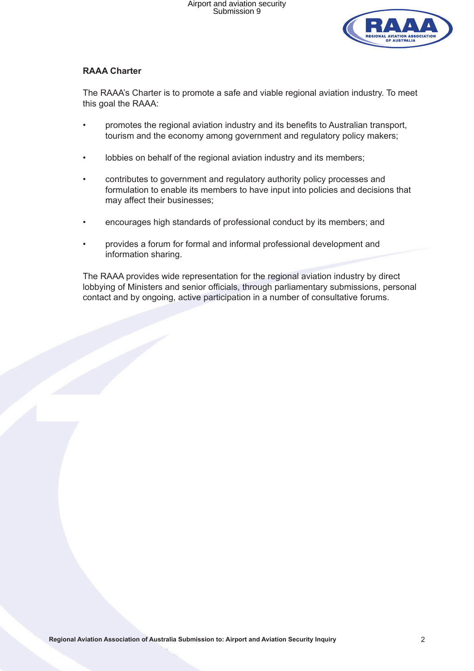

#### **RAAA Charter**

The RAAA's Charter is to promote a safe and viable regional aviation industry. To meet this goal the RAAA:

- promotes the regional aviation industry and its benefits to Australian transport, tourism and the economy among government and regulatory policy makers;
- lobbies on behalf of the regional aviation industry and its members;
- contributes to government and regulatory authority policy processes and formulation to enable its members to have input into policies and decisions that may affect their businesses;
- encourages high standards of professional conduct by its members; and
- provides a forum for formal and informal professional development and information sharing.

The RAAA provides wide representation for the regional aviation industry by direct lobbying of Ministers and senior officials, through parliamentary submissions, personal contact and by ongoing, active participation in a number of consultative forums.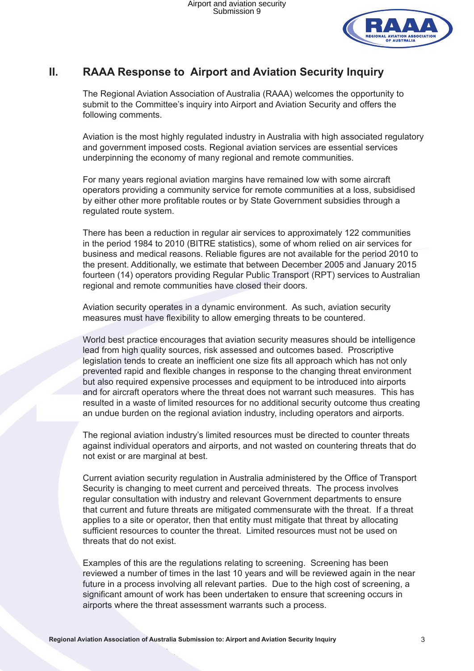

## **II. RAAA Response to Airport and Aviation Security Inquiry**

The Regional Aviation Association of Australia (RAAA) welcomes the opportunity to submit to the Committee's inquiry into Airport and Aviation Security and offers the following comments.

Aviation is the most highly regulated industry in Australia with high associated regulatory and government imposed costs. Regional aviation services are essential services underpinning the economy of many regional and remote communities.

For many years regional aviation margins have remained low with some aircraft operators providing a community service for remote communities at a loss, subsidised by either other more profitable routes or by State Government subsidies through a regulated route system.

There has been a reduction in regular air services to approximately 122 communities in the period 1984 to 2010 (BITRE statistics), some of whom relied on air services for business and medical reasons. Reliable figures are not available for the period 2010 to the present. Additionally, we estimate that between December 2005 and January 2015 fourteen (14) operators providing Regular Public Transport (RPT) services to Australian regional and remote communities have closed their doors.

Aviation security operates in a dynamic environment. As such, aviation security measures must have flexibility to allow emerging threats to be countered.

World best practice encourages that aviation security measures should be intelligence lead from high quality sources, risk assessed and outcomes based. Proscriptive legislation tends to create an inefficient one size fits all approach which has not only prevented rapid and flexible changes in response to the changing threat environment but also required expensive processes and equipment to be introduced into airports and for aircraft operators where the threat does not warrant such measures. This has resulted in a waste of limited resources for no additional security outcome thus creating an undue burden on the regional aviation industry, including operators and airports.

The regional aviation industry's limited resources must be directed to counter threats against individual operators and airports, and not wasted on countering threats that do not exist or are marginal at best.

Current aviation security regulation in Australia administered by the Office of Transport Security is changing to meet current and perceived threats. The process involves regular consultation with industry and relevant Government departments to ensure that current and future threats are mitigated commensurate with the threat. If a threat applies to a site or operator, then that entity must mitigate that threat by allocating sufficient resources to counter the threat. Limited resources must not be used on threats that do not exist.

Examples of this are the regulations relating to screening. Screening has been reviewed a number of times in the last 10 years and will be reviewed again in the near future in a process involving all relevant parties. Due to the high cost of screening, a significant amount of work has been undertaken to ensure that screening occurs in airports where the threat assessment warrants such a process.